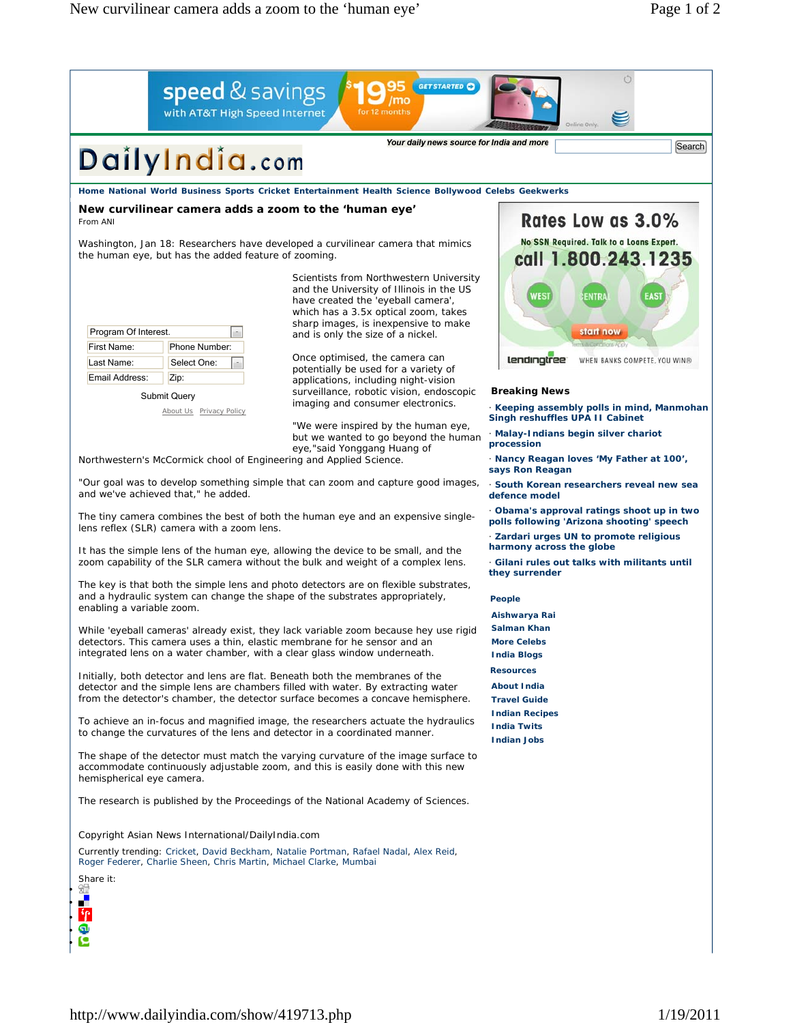